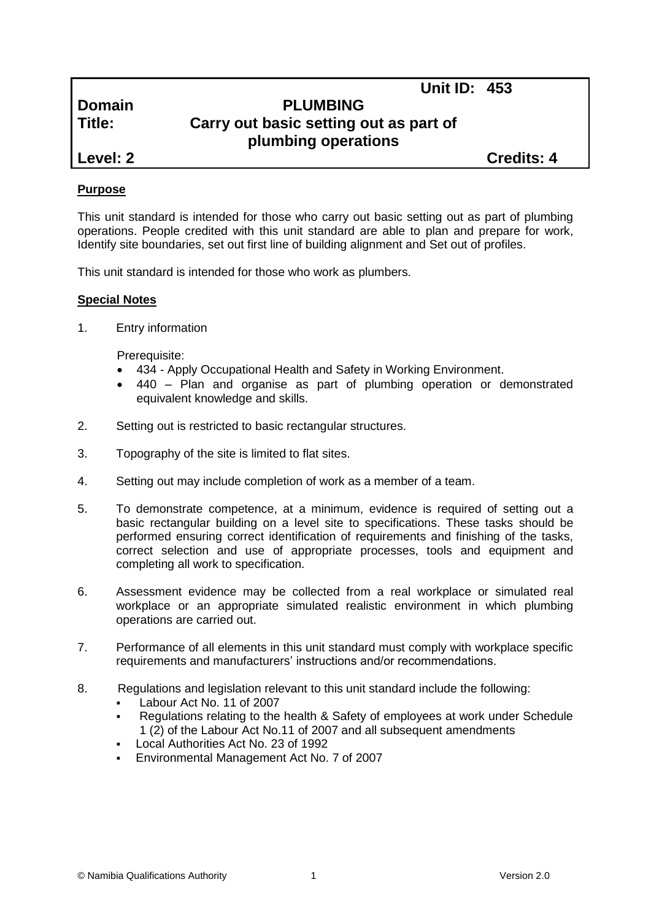| <b>Domain</b> |  |
|---------------|--|
| Title:        |  |

# **Domain PLUMBING Carry out basic setting out as part of plumbing operations**

**Level: 2 Credits: 4**

**Unit ID: 453**

# **Purpose**

This unit standard is intended for those who carry out basic setting out as part of plumbing operations. People credited with this unit standard are able to plan and prepare for work, Identify site boundaries, set out first line of building alignment and Set out of profiles.

This unit standard is intended for those who work as plumbers.

## **Special Notes**

1. Entry information

Prerequisite:

- 434 *-* Apply Occupational Health and Safety in Working Environment.
- 440 Plan and organise as part of plumbing operation or demonstrated equivalent knowledge and skills.
- 2. Setting out is restricted to basic rectangular structures.
- 3. Topography of the site is limited to flat sites.
- 4. Setting out may include completion of work as a member of a team.
- 5. To demonstrate competence, at a minimum, evidence is required of setting out a basic rectangular building on a level site to specifications. These tasks should be performed ensuring correct identification of requirements and finishing of the tasks, correct selection and use of appropriate processes, tools and equipment and completing all work to specification.
- 6. Assessment evidence may be collected from a real workplace or simulated real workplace or an appropriate simulated realistic environment in which plumbing operations are carried out.
- 7. Performance of all elements in this unit standard must comply with workplace specific requirements and manufacturers' instructions and/or recommendations.
- 8. Regulations and legislation relevant to this unit standard include the following:
	- Labour Act No. 11 of 2007
	- Regulations relating to the health & Safety of employees at work under Schedule 1 (2) of the Labour Act No.11 of 2007 and all subsequent amendments
	- Local Authorities Act No. 23 of 1992
	- Environmental Management Act No. 7 of 2007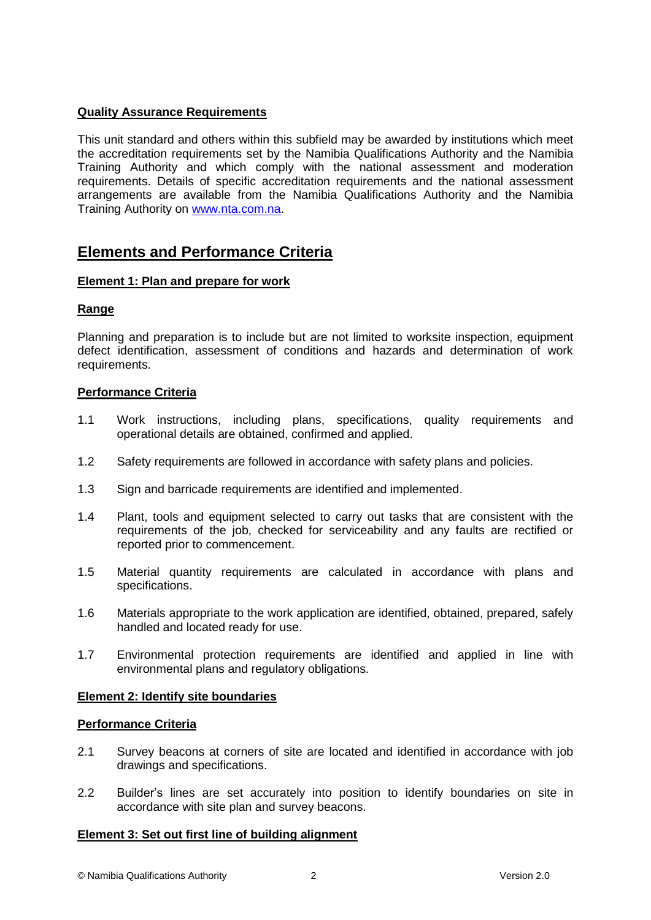# **Quality Assurance Requirements**

This unit standard and others within this subfield may be awarded by institutions which meet the accreditation requirements set by the Namibia Qualifications Authority and the Namibia Training Authority and which comply with the national assessment and moderation requirements. Details of specific accreditation requirements and the national assessment arrangements are available from the Namibia Qualifications Authority and the Namibia Training Authority on [www.nta.com.na.](http://www.nta.com.na/)

# **Elements and Performance Criteria**

#### **Element 1: Plan and prepare for work**

#### **Range**

Planning and preparation is to include but are not limited to worksite inspection, equipment defect identification, assessment of conditions and hazards and determination of work requirements.

## **Performance Criteria**

- 1.1 Work instructions, including plans, specifications, quality requirements and operational details are obtained, confirmed and applied.
- 1.2 Safety requirements are followed in accordance with safety plans and policies.
- 1.3 Sign and barricade requirements are identified and implemented.
- 1.4 Plant, tools and equipment selected to carry out tasks that are consistent with the requirements of the job, checked for serviceability and any faults are rectified or reported prior to commencement.
- 1.5 Material quantity requirements are calculated in accordance with plans and specifications.
- 1.6 Materials appropriate to the work application are identified, obtained, prepared, safely handled and located ready for use.
- 1.7 Environmental protection requirements are identified and applied in line with environmental plans and regulatory obligations.

#### **Element 2: Identify site boundaries**

#### **Performance Criteria**

- 2.1 Survey beacons at corners of site are located and identified in accordance with job drawings and specifications.
- 2.2 Builder's lines are set accurately into position to identify boundaries on site in accordance with site plan and survey beacons.

#### **Element 3: Set out first line of building alignment**